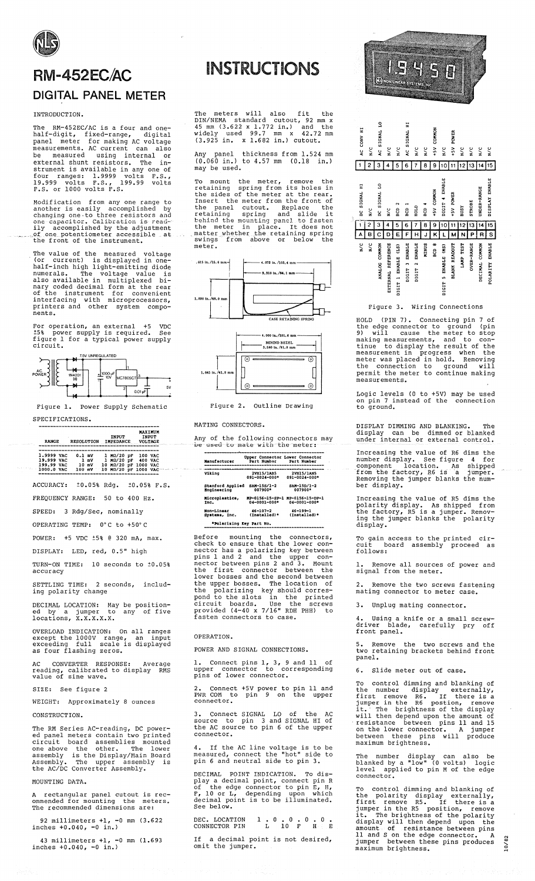## **RM-452EC/AC DIGITAL PANEL METER**

#### INTRODUCTION.

The RM-452EC/AC is a four and one-<br>half-digit, fixed-range, digital<br>panel meter for making AC voltage<br>measurements. AC current can also<br>be measured using internal or<br>external shunt resistors. The in-<br>strument is available

Modification from any one range to<br>another is easily accomplished by<br>changing one to three resistors and<br>one-capacitor. Calibration is read-<br>ily accomplished by the adjustment<br>of one potentiometer accessible at<br>the front o

The value of the measured voltage<br>(or current) is displayed in one-<br>half-inch high light-emitting diode<br>numerals. The voltage value is<br>also available in multiplexed bi-<br>nary coded decimal form at the rear<br>of the instrument nents.

For operation, an external +5 VDC<br>  $\frac{158}{15}$  power supply is required. See<br>
figure 1 for a typical power supply  $c$ ircuit.



Figure 1. Power Supply Schematic

SPECIFICATIONS.

| <b>RAIKE</b>                                                |  | <b>RESOLUTION</b>  |               | <b>INPUT</b><br><b>IMPEDANCE</b> |                                                                                                  |  | MAXIMUM<br>INPUT<br><b>VOLTAGE</b> |  |  |
|-------------------------------------------------------------|--|--------------------|---------------|----------------------------------|--------------------------------------------------------------------------------------------------|--|------------------------------------|--|--|
| 1.9999 VAC<br>19.999 VAC<br>199.99 VAC<br><b>1000.0 VAC</b> |  | $0.1$ mV<br>100 mV | 1 mV<br>10 mV |                                  | $1$ M $\Omega/20$ pP<br>1 MQ/20 pF 400 VAC<br>10 MQ/20 pF 1000 VAC<br>$10$ MO/20 pF 1000 VAC $-$ |  | <b>100 VAC</b>                     |  |  |

ACCURACY: ±0.05% Rdq. ±0.05% F.S.

FREQUENCY RANGE: 50 to 400 Hz.

SPEED: 3 Rdq/Sec, nominally OPERATING TEMP: 0°C to +50°C

POWER: +5 VDC ±5% @ 320 mA, max.

DISPLAY: LED, red, 0.5" high

TURN-ON TIME: 10 seconds to ±0.05% accuracy

SETTLING TIME: 2 seconds, includ-<br>ing polarity change

DECIMAL LOCATION: May be position-<br>ed by a jumper to any of five<br>locations, X.X.X.X.X.

OVERLOAD INDICATION: On all ranges<br>except the 1000V range, an input<br>exceeding full scale is displayed<br>as four flashing zeros.

AC CONVERTER RESPONSE: Average<br>reading, calibrated to display RMS<br>value of sine wave.

SIZE: See figure 2

WEIGHT: Approximately 8 ounces

CONSTRUCTION.

The RM Series AC-reading, DC power-<br>ed panel meters contain two printed<br>circuit board assemblies mounted<br>one above the other. The lower<br>assembly is the pisplay/Main Board<br>Assembly. The upper assembly is<br>the AC/DC Converter

MOUNTING DATA

rectangular panel cutout is recommended for mounting the met<br>The recommended dimensions are: meters.

92 millimeters  $+1$ , -0 mm (3.622<br>inches  $+0.040$ , -0 in.)

43 millimeters  $+1$ , -0 mm (1.693 inches  $+0.040$ , -0 in.)

# **INSTRUCTIONS**

The meters will also fit the<br>DIN/NEMA standard cutout, 92 mm x<br>45 mm  $(3.622 \times 1.772 \text{ in.})$  and the<br>widely used 99.7 mm x 42.72 mm<br> $(3.925 \text{ in.} \times 1.682 \text{ in.})$  cutout.

Any panel thickness from 1.524 mm<br>(0.060 in.) to 4.57 mm (0.18 in.)<br>may be used.

To mount the meter, remove the<br>retaining spring from its holes in<br>the sides of the meter at the rear.<br>Insert the meter from the front of<br>the panel cutout. Replace the<br>retaining spring and slide it<br>behind the monting panel meter.



Figure 2. Outline Drawing

MATING CONNECTORS.

Any of the following connectors may<br>be used to mate with the meter:

| Manufacturer             | Upper Connector Lower Connector<br>Part Number | Part Number         |
|--------------------------|------------------------------------------------|---------------------|
| Viking                   | 2VH15/1AB5                                     | 2VB15/1AN5          |
|                          | 091-0024-000*                                  | $091 - 0024 - 000*$ |
| <b>Stanford Applied</b>  | <b>SAN-15S/1-2</b>                             | SAN-15D/1-2         |
| Engineering              | 007900*                                        | 007900*             |
| Microplastics.           | $8P-0156-15-8P-1$                              | MP-0156-15-DP-1     |
| Inc.                     | $04 - 0001 - 000$ *                            | $04 - 0001 - 000*$  |
| Non-Linear               | $46 - 107 - 2$                                 | $46 - 199 - 1$      |
| Systems, Inc.            | ${Instable}$                                   | (Installed)*        |
| *Polarizing Key Part No. |                                                |                     |

Before mounting the connectors,<br>check to ensure that the lower con-<br>nector has a polarizing key between<br>pins 1 and 2 and the upper con-<br>nector between pins 2 and 3. Mount<br>the first connector between the<br>lower bosses and th Tower bosses and the second between<br>the upper bosses. The location of<br>the polarizing key should corres-<br>pond to the slots in the printed<br>circuit boards. Use the screws<br>provided (4-40 x 7/16" RDH PHH) to<br>fasten connectors t

OPERATION.

POWER AND SIGNAL CONNECTIONS.

Connect pins 1, 3, 9 and 11 of<br>er connector to corresponding  $\overline{1}$ . upper pins of lower connector.

Connect +5V power to pin 11 and<br>COM to pin 9 on the upper PWR COM connector.

3. Connect SIGNAL LO of the AC<br>source to pin 3 and SIGNAL HI of<br>the AC source to pin 6 of the upper connector.

4. If the AC line voltage is to be<br>measured, connect the "hot" side to<br>pin 6 and neutral side to pin 3.

POINT INDICATION. To dis-DECIMAL play a decimal point, connect pin R<br>of the edge connector to pin E, H,<br> $F$ , 10 or L, depending upon which<br>decimal point is to be illuminated. See below.

DEC. LOCATION<br>CONNECTOR PIN  $\begin{array}{cccccccccccccc} &1&.&0&.&0&.&0&.&0&.&0&.&\ &L&10& F& &H& &E \end{array}$ 

 $If$ a decimal point is not desired, omit the jumper.



| ś | H<br>AC CONV                | $\frac{c}{\mathbf{k}}$<br>2 | AC SIGNAL LO<br>з | $\frac{c}{\mathbf{a}}$<br>4 | N/C<br>5                | H<br>AC SIGNAL<br>6               | $\frac{c}{\mathbf{z}}$<br>7                  | $\frac{c}{\mathbf{z}}$<br>8 | COMMON<br>$+5V$<br>9 | $\frac{c}{\mathbf{z}}$<br>1 | POWER<br>$+5V$<br>1 | $\frac{c}{\mathbf{z}}$<br>2<br>1 | $\frac{c}{\mathbf{z}}$<br>13 | $\frac{c}{\mathbf{z}}$<br>14 | $\sum_{i=1}^{n}$<br>15  |
|---|-----------------------------|-----------------------------|-------------------|-----------------------------|-------------------------|-----------------------------------|----------------------------------------------|-----------------------------|----------------------|-----------------------------|---------------------|----------------------------------|------------------------------|------------------------------|-------------------------|
|   | DC SIGNAL HI<br>1           | N C<br>2                    | DC SIGNAL LO<br>з | $\geq$<br>4                 | Z<br>BCD<br>5           | BCD <sub>1</sub><br>6             | HOLD<br>7                                    | ខ្លួ<br>8                   | HSV COMMON<br>9      | DIGIT 4 ENABLE<br>10        | +5V POWER<br>11     | <b>BUSY</b><br>12                | <b>STROBE</b><br>13          | <b>UNDER-RANGE</b><br>14     | DISPLAY ENABLE<br>15    |
|   | А<br>$\frac{c}{\mathbf{z}}$ | в<br>$\frac{c}{\mathbf{x}}$ | ANALOG COMMON     | REFERENCE<br>EXTERNAL       | E<br>IGIT 1 ENABLE (LS) | F<br>ENABLE<br>DIGIT <sub>3</sub> | н<br>ENABLE<br>$\ddot{\phantom{0}}$<br>DIGIT | J<br><b>MINUS</b>           | κ<br>acp a           | IGIT 5 ENABLE (MS)          | N<br>BLANK READOUT  | N<br>LAMP TEST                   | P<br><b>OVER-RANGE</b>       | R<br>DECIMAL COMMON          | s<br>ENABLE<br>POLARITY |

Figure 3. Wiring Connections

HOLD (PIN 7). Connecting pin 7 of<br>the edge connector to ground (pin<br>9) will cause the meter to stop<br>making measurements, and to con-<br>tinue to display the result of the<br>measurement in progress when the<br>meter was placed in h measurements.

Logic levels (0 to +5V) may be used<br>on pin 7 instead of the connection<br>to ground.

DISPLAY DIMMING AND BLANKING. The<br>display can be dimmed or blanked<br>under internal or external control.

Increasing the value of R6 dims the<br>number display. See figure 4 for<br>component location. As shipped<br>from the factory, R6 is a jumper.<br>Removing the jumper blanks the num-<br>ber display.

Increasing the value of R5 dims the<br>polarity display. As shipped from<br>the factory, R5 is a jumper. Remov-<br>ing the jumper blanks the polarity<br>display.

gain access to the printed<br>it board assembly procee rinted cir-<br>proceed as cuit  $f$ ollows:

1. Remove all sources of power and<br>signal from the meter.

Remove the two screws fastening mating connector to meter case.

Unplug mating connector.

Using a knife or a small screw-<br>ver blade, carefully pry off driver blade<br>front panel.

the Remove two screws and the two retaining brackets behind front panel.

6. Slide meter out of case.

To control dimming and blanking of<br>the number display externally,<br>first remove R6. If there is a<br>jumper in the R6 postion, remove<br>it. The brightness of the display<br>will then depend upon the amount of<br>resistance between pin

The number display can also be<br>blanked by a "low" (0 volts) logic end of a "low" (0 volts) logic<br>level applied to pin M of the edge<br>connector. level

To control dimming and blanking of<br>the polarity display externally,<br>first remove R5. If there is a<br>jumper in the R5 position, remove<br>it. The brightness of the polarity<br>display will then depend upon the<br>amount of resistance jumper between the<br>maximum brightness.

 $10/82$